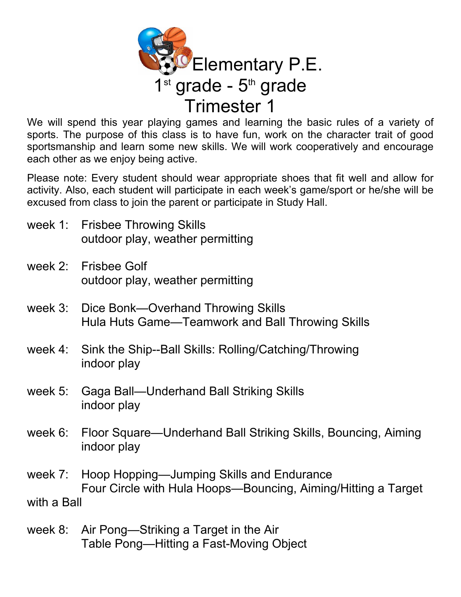

We will spend this year playing games and learning the basic rules of a variety of sports. The purpose of this class is to have fun, work on the character trait of good sportsmanship and learn some new skills. We will work cooperatively and encourage each other as we enjoy being active.

Please note: Every student should wear appropriate shoes that fit well and allow for activity. Also, each student will participate in each week's game/sport or he/she will be excused from class to join the parent or participate in Study Hall.

- week 1: Frisbee Throwing Skills outdoor play, weather permitting
- week 2: Frisbee Golf outdoor play, weather permitting
- week 3: Dice Bonk—Overhand Throwing Skills Hula Huts Game—Teamwork and Ball Throwing Skills
- week 4: Sink the Ship--Ball Skills: Rolling/Catching/Throwing indoor play
- week 5: Gaga Ball—Underhand Ball Striking Skills indoor play
- week 6: Floor Square—Underhand Ball Striking Skills, Bouncing, Aiming indoor play
- week 7: Hoop Hopping—Jumping Skills and Endurance Four Circle with Hula Hoops—Bouncing, Aiming/Hitting a Target with a Ball
- week 8: Air Pong—Striking a Target in the Air Table Pong—Hitting a Fast-Moving Object